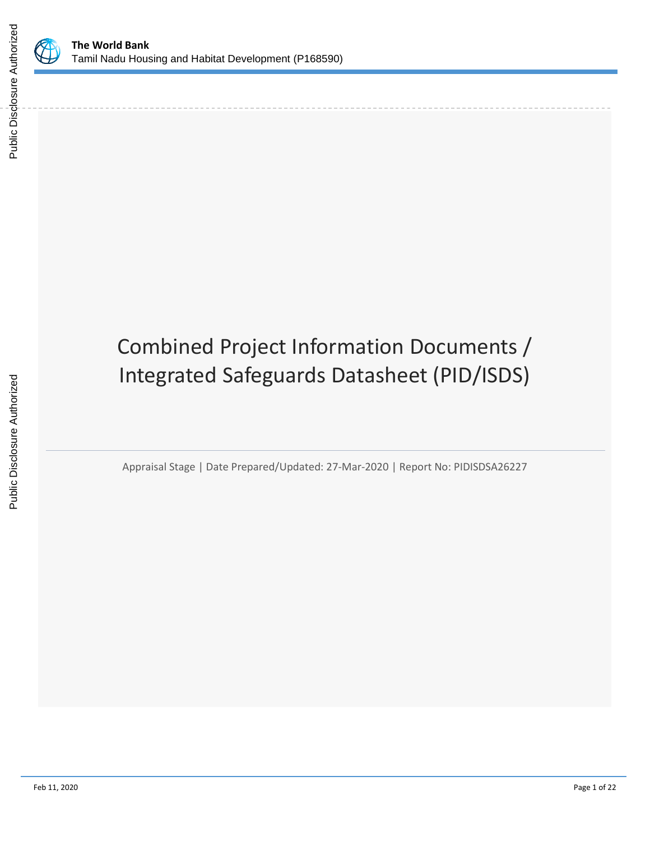

# Combined Project Information Documents / Integrated Safeguards Datasheet (PID/ISDS)

Appraisal Stage | Date Prepared/Updated: 27-Mar-2020 | Report No: PIDISDSA26227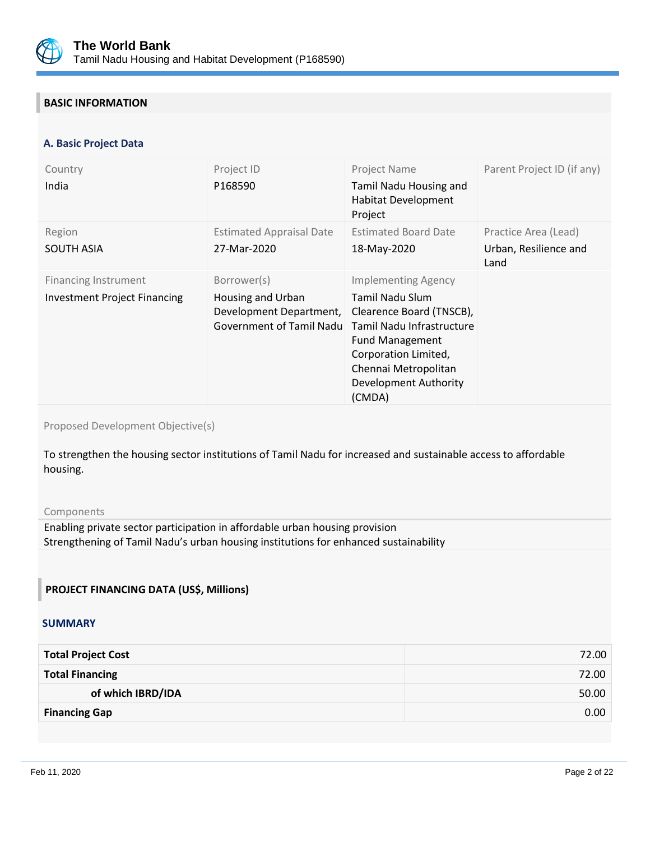

# **BASIC INFORMATION**

#### **OPS\_TABLE\_BASIC\_DATA A. Basic Project Data**

| Country<br>India                                                   | Project ID<br>P168590                                                                   | Project Name<br>Tamil Nadu Housing and<br><b>Habitat Development</b><br>Project                                                                                                                                     | Parent Project ID (if any)                            |
|--------------------------------------------------------------------|-----------------------------------------------------------------------------------------|---------------------------------------------------------------------------------------------------------------------------------------------------------------------------------------------------------------------|-------------------------------------------------------|
| Region<br><b>SOUTH ASIA</b>                                        | <b>Estimated Appraisal Date</b><br>27-Mar-2020                                          | <b>Estimated Board Date</b><br>18-May-2020                                                                                                                                                                          | Practice Area (Lead)<br>Urban, Resilience and<br>Land |
| <b>Financing Instrument</b><br><b>Investment Project Financing</b> | Borrower(s)<br>Housing and Urban<br>Development Department,<br>Government of Tamil Nadu | <b>Implementing Agency</b><br>Tamil Nadu Slum<br>Clearence Board (TNSCB),<br>Tamil Nadu Infrastructure<br><b>Fund Management</b><br>Corporation Limited,<br>Chennai Metropolitan<br>Development Authority<br>(CMDA) |                                                       |

Proposed Development Objective(s)

To strengthen the housing sector institutions of Tamil Nadu for increased and sustainable access to affordable housing.

#### Components

Enabling private sector participation in affordable urban housing provision Strengthening of Tamil Nadu's urban housing institutions for enhanced sustainability

#### **PROJECT FINANCING DATA (US\$, Millions)**

#### **SUMMARY**

| 72.00 |
|-------|
| 50.00 |
| 0.00  |
|       |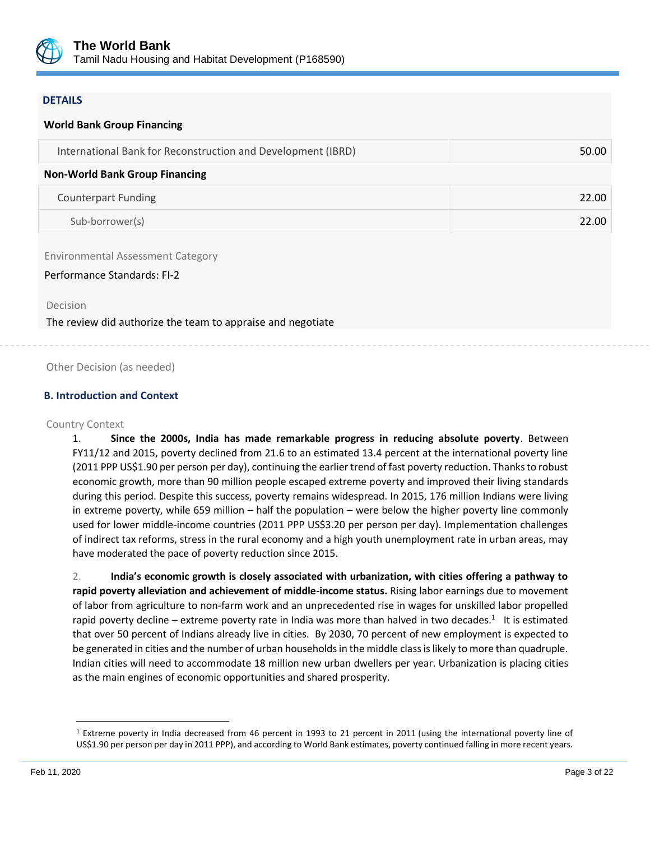

#### **DETAILS**

# **World Bank Group Financing** International Bank for Reconstruction and Development (IBRD) 50.00 **Non-World Bank Group Financing** Counterpart Funding 22.00 Sub-borrower(s) 22.00

Environmental Assessment Category

#### Performance Standards: FI-2

Decision

The review did authorize the team to appraise and negotiate

Other Decision (as needed)

#### **B. Introduction and Context**

#### Country Context

1. **Since the 2000s, India has made remarkable progress in reducing absolute poverty**. Between FY11/12 and 2015, poverty declined from 21.6 to an estimated 13.4 percent at the international poverty line (2011 PPP US\$1.90 per person per day), continuing the earlier trend of fast poverty reduction. Thanks to robust economic growth, more than 90 million people escaped extreme poverty and improved their living standards during this period. Despite this success, poverty remains widespread. In 2015, 176 million Indians were living in extreme poverty, while 659 million – half the population – were below the higher poverty line commonly used for lower middle-income countries (2011 PPP US\$3.20 per person per day). Implementation challenges of indirect tax reforms, stress in the rural economy and a high youth unemployment rate in urban areas, may have moderated the pace of poverty reduction since 2015.

2. **India's economic growth is closely associated with urbanization, with cities offering a pathway to rapid poverty alleviation and achievement of middle-income status.** Rising labor earnings due to movement of labor from agriculture to non-farm work and an unprecedented rise in wages for unskilled labor propelled rapid poverty decline – extreme poverty rate in India was more than halved in two decades.<sup>1</sup> It is estimated that over 50 percent of Indians already live in cities. By 2030, 70 percent of new employment is expected to be generated in cities and the number of urban households in the middle class is likely to more than quadruple. Indian cities will need to accommodate 18 million new urban dwellers per year. Urbanization is placing cities as the main engines of economic opportunities and shared prosperity.

<sup>1</sup> Extreme poverty in India decreased from 46 percent in 1993 to 21 percent in 2011 (using the international poverty line of US\$1.90 per person per day in 2011 PPP), and according to World Bank estimates, poverty continued falling in more recent years.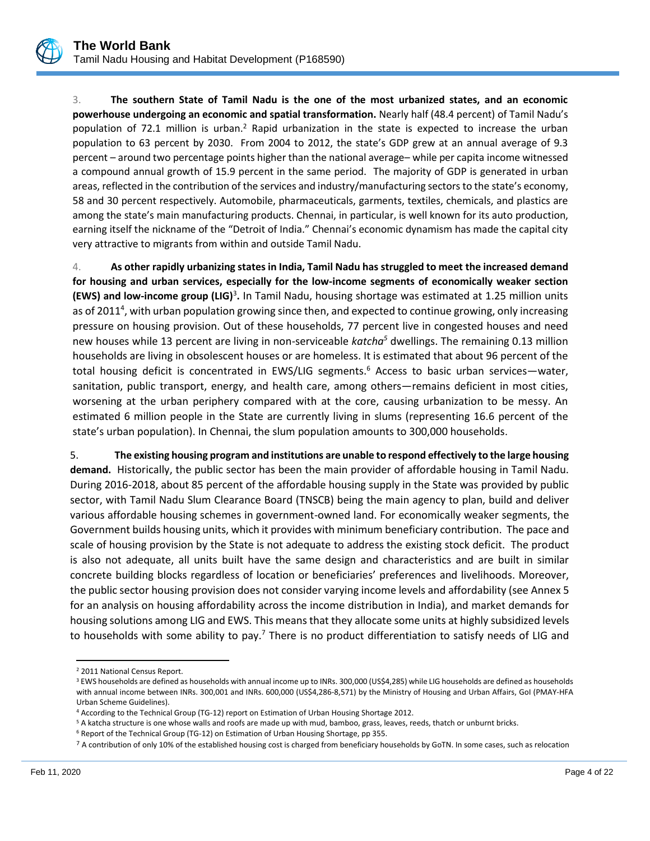

3. **The southern State of Tamil Nadu is the one of the most urbanized states, and an economic powerhouse undergoing an economic and spatial transformation.** Nearly half (48.4 percent) of Tamil Nadu's population of 72.1 million is urban.<sup>2</sup> Rapid urbanization in the state is expected to increase the urban population to 63 percent by 2030. From 2004 to 2012, the state's GDP grew at an annual average of 9.3 percent – around two percentage points higher than the national average– while per capita income witnessed a compound annual growth of 15.9 percent in the same period. The majority of GDP is generated in urban areas, reflected in the contribution of the services and industry/manufacturing sectors to the state's economy, 58 and 30 percent respectively. Automobile, pharmaceuticals, garments, textiles, chemicals, and plastics are among the state's main manufacturing products. Chennai, in particular, is well known for its auto production, earning itself the nickname of the "Detroit of India." Chennai's economic dynamism has made the capital city very attractive to migrants from within and outside Tamil Nadu.

4. **As other rapidly urbanizing states in India, Tamil Nadu has struggled to meet the increased demand for housing and urban services, especially for the low-income segments of economically weaker section (EWS) and low-income group (LIG)**<sup>3</sup> **.** In Tamil Nadu, housing shortage was estimated at 1.25 million units as of 2011<sup>4</sup>, with urban population growing since then, and expected to continue growing, only increasing pressure on housing provision. Out of these households, 77 percent live in congested houses and need new houses while 13 percent are living in non-serviceable *katcha<sup>5</sup>* dwellings. The remaining 0.13 million households are living in obsolescent houses or are homeless. It is estimated that about 96 percent of the total housing deficit is concentrated in EWS/LIG segments.<sup>6</sup> Access to basic urban services—water, sanitation, public transport, energy, and health care, among others—remains deficient in most cities, worsening at the urban periphery compared with at the core, causing urbanization to be messy. An estimated 6 million people in the State are currently living in slums (representing 16.6 percent of the state's urban population). In Chennai, the slum population amounts to 300,000 households.

5. **The existing housing program and institutions are unable to respond effectively to the large housing demand.** Historically, the public sector has been the main provider of affordable housing in Tamil Nadu. During 2016-2018, about 85 percent of the affordable housing supply in the State was provided by public sector, with Tamil Nadu Slum Clearance Board (TNSCB) being the main agency to plan, build and deliver various affordable housing schemes in government-owned land. For economically weaker segments, the Government builds housing units, which it provides with minimum beneficiary contribution. The pace and scale of housing provision by the State is not adequate to address the existing stock deficit. The product is also not adequate, all units built have the same design and characteristics and are built in similar concrete building blocks regardless of location or beneficiaries' preferences and livelihoods. Moreover, the public sector housing provision does not consider varying income levels and affordability (see Annex 5 for an analysis on housing affordability across the income distribution in India), and market demands for housing solutions among LIG and EWS. This means that they allocate some units at highly subsidized levels to households with some ability to pay.<sup>7</sup> There is no product differentiation to satisfy needs of LIG and

<sup>2</sup> 2011 National Census Report.

<sup>&</sup>lt;sup>3</sup> EWS households are defined as households with annual income up to INRs. 300,000 (US\$4,285) while LIG households are defined as households with annual income between INRs. 300,001 and INRs. 600,000 (US\$4,286-8,571) by the Ministry of Housing and Urban Affairs, GoI (PMAY-HFA Urban Scheme Guidelines).

<sup>4</sup> According to the Technical Group (TG-12) report on Estimation of Urban Housing Shortage 2012.

<sup>&</sup>lt;sup>5</sup> A katcha structure is one whose walls and roofs are made up with mud, bamboo, grass, leaves, reeds, thatch or unburnt bricks.

<sup>6</sup> Report of the Technical Group (TG-12) on Estimation of Urban Housing Shortage, pp 355.

<sup>&</sup>lt;sup>7</sup> A contribution of only 10% of the established housing cost is charged from beneficiary households by GoTN. In some cases, such as relocation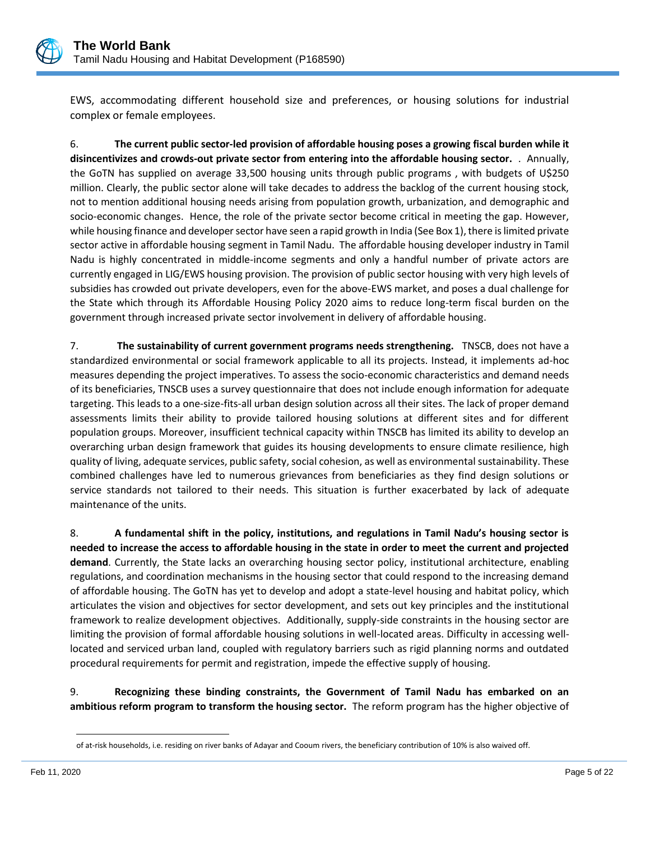

EWS, accommodating different household size and preferences, or housing solutions for industrial complex or female employees.

6. **The current public sector-led provision of affordable housing poses a growing fiscal burden while it disincentivizes and crowds-out private sector from entering into the affordable housing sector.** . Annually, the GoTN has supplied on average 33,500 housing units through public programs , with budgets of U\$250 million. Clearly, the public sector alone will take decades to address the backlog of the current housing stock, not to mention additional housing needs arising from population growth, urbanization, and demographic and socio-economic changes. Hence, the role of the private sector become critical in meeting the gap. However, while housing finance and developer sector have seen a rapid growth in India (See Box 1), there is limited private sector active in affordable housing segment in Tamil Nadu. The affordable housing developer industry in Tamil Nadu is highly concentrated in middle-income segments and only a handful number of private actors are currently engaged in LIG/EWS housing provision. The provision of public sector housing with very high levels of subsidies has crowded out private developers, even for the above-EWS market, and poses a dual challenge for the State which through its Affordable Housing Policy 2020 aims to reduce long-term fiscal burden on the government through increased private sector involvement in delivery of affordable housing.

7. **The sustainability of current government programs needs strengthening.** TNSCB, does not have a standardized environmental or social framework applicable to all its projects. Instead, it implements ad-hoc measures depending the project imperatives. To assess the socio-economic characteristics and demand needs of its beneficiaries, TNSCB uses a survey questionnaire that does not include enough information for adequate targeting. This leads to a one-size-fits-all urban design solution across all their sites. The lack of proper demand assessments limits their ability to provide tailored housing solutions at different sites and for different population groups. Moreover, insufficient technical capacity within TNSCB has limited its ability to develop an overarching urban design framework that guides its housing developments to ensure climate resilience, high quality of living, adequate services, public safety, social cohesion, as well as environmental sustainability. These combined challenges have led to numerous grievances from beneficiaries as they find design solutions or service standards not tailored to their needs. This situation is further exacerbated by lack of adequate maintenance of the units.

8. **A fundamental shift in the policy, institutions, and regulations in Tamil Nadu's housing sector is needed to increase the access to affordable housing in the state in order to meet the current and projected demand**. Currently, the State lacks an overarching housing sector policy, institutional architecture, enabling regulations, and coordination mechanisms in the housing sector that could respond to the increasing demand of affordable housing. The GoTN has yet to develop and adopt a state-level housing and habitat policy, which articulates the vision and objectives for sector development, and sets out key principles and the institutional framework to realize development objectives. Additionally, supply-side constraints in the housing sector are limiting the provision of formal affordable housing solutions in well-located areas. Difficulty in accessing welllocated and serviced urban land, coupled with regulatory barriers such as rigid planning norms and outdated procedural requirements for permit and registration, impede the effective supply of housing.

9. **Recognizing these binding constraints, the Government of Tamil Nadu has embarked on an ambitious reform program to transform the housing sector.** The reform program has the higher objective of

of at-risk households, i.e. residing on river banks of Adayar and Cooum rivers, the beneficiary contribution of 10% is also waived off.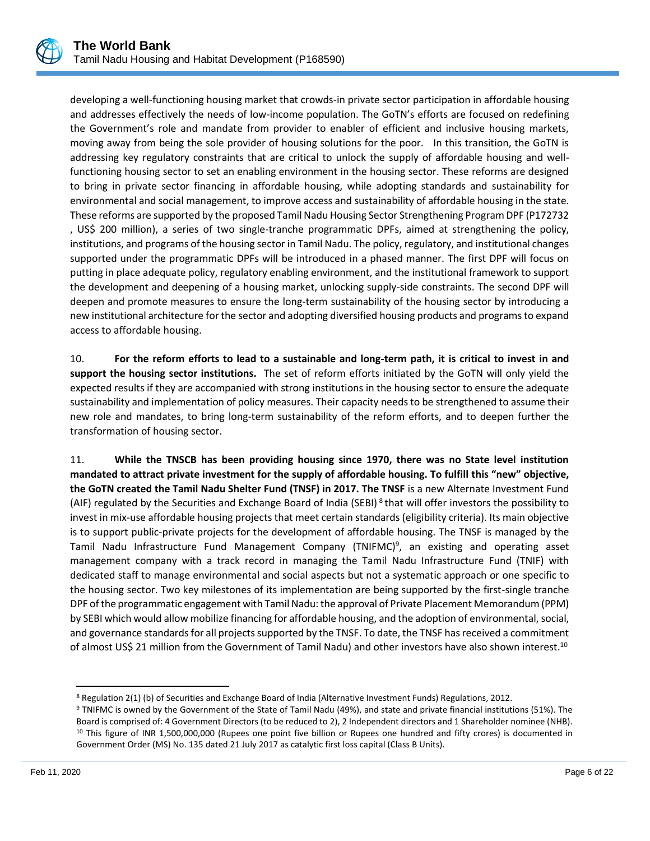

developing a well-functioning housing market that crowds-in private sector participation in affordable housing and addresses effectively the needs of low-income population. The GoTN's efforts are focused on redefining the Government's role and mandate from provider to enabler of efficient and inclusive housing markets, moving away from being the sole provider of housing solutions for the poor. In this transition, the GoTN is addressing key regulatory constraints that are critical to unlock the supply of affordable housing and wellfunctioning housing sector to set an enabling environment in the housing sector. These reforms are designed to bring in private sector financing in affordable housing, while adopting standards and sustainability for environmental and social management, to improve access and sustainability of affordable housing in the state. These reforms are supported by the proposed Tamil Nadu Housing Sector Strengthening Program DPF (P172732 , US\$ 200 million), a series of two single-tranche programmatic DPFs, aimed at strengthening the policy, institutions, and programs of the housing sector in Tamil Nadu. The policy, regulatory, and institutional changes supported under the programmatic DPFs will be introduced in a phased manner. The first DPF will focus on putting in place adequate policy, regulatory enabling environment, and the institutional framework to support the development and deepening of a housing market, unlocking supply-side constraints. The second DPF will deepen and promote measures to ensure the long-term sustainability of the housing sector by introducing a new institutional architecture for the sector and adopting diversified housing products and programs to expand access to affordable housing.

10. **For the reform efforts to lead to a sustainable and long-term path, it is critical to invest in and support the housing sector institutions.** The set of reform efforts initiated by the GoTN will only yield the expected results if they are accompanied with strong institutions in the housing sector to ensure the adequate sustainability and implementation of policy measures. Their capacity needs to be strengthened to assume their new role and mandates, to bring long-term sustainability of the reform efforts, and to deepen further the transformation of housing sector.

11. **While the TNSCB has been providing housing since 1970, there was no State level institution mandated to attract private investment for the supply of affordable housing. To fulfill this "new" objective, the GoTN created the Tamil Nadu Shelter Fund (TNSF) in 2017. The TNSF** is a new Alternate Investment Fund (AIF) regulated by the Securities and Exchange Board of India (SEBI) <sup>8</sup> that will offer investors the possibility to invest in mix-use affordable housing projects that meet certain standards (eligibility criteria). Its main objective is to support public-private projects for the development of affordable housing. The TNSF is managed by the Tamil Nadu Infrastructure Fund Management Company (TNIFMC)<sup>9</sup>, an existing and operating asset management company with a track record in managing the Tamil Nadu Infrastructure Fund (TNIF) with dedicated staff to manage environmental and social aspects but not a systematic approach or one specific to the housing sector. Two key milestones of its implementation are being supported by the first-single tranche DPF of the programmatic engagement with Tamil Nadu: the approval of Private Placement Memorandum (PPM) by SEBI which would allow mobilize financing for affordable housing, and the adoption of environmental, social, and governance standards for all projects supported by the TNSF. To date, the TNSF has received a commitment of almost US\$ 21 million from the Government of Tamil Nadu) and other investors have also shown interest.<sup>10</sup>

<sup>8</sup> Regulation 2(1) (b) of Securities and Exchange Board of India (Alternative Investment Funds) Regulations, 2012.

<sup>9</sup> TNIFMC is owned by the Government of the State of Tamil Nadu (49%), and state and private financial institutions (51%). The Board is comprised of: 4 Government Directors (to be reduced to 2), 2 Independent directors and 1 Shareholder nominee (NHB). <sup>10</sup> This figure of INR 1,500,000,000 (Rupees one point five billion or Rupees one hundred and fifty crores) is documented in Government Order (MS) No. 135 dated 21 July 2017 as catalytic first loss capital (Class B Units).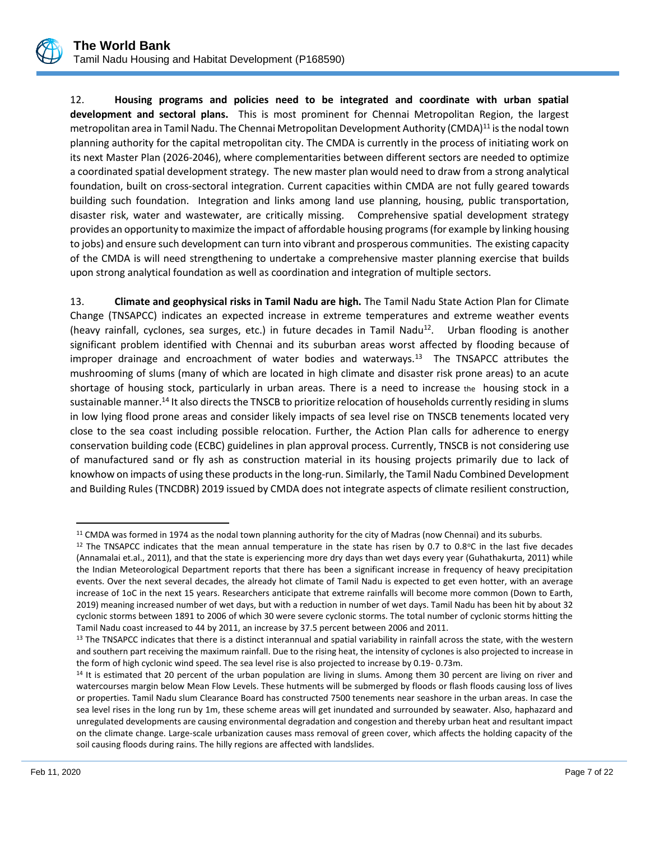

12. **Housing programs and policies need to be integrated and coordinate with urban spatial development and sectoral plans.** This is most prominent for Chennai Metropolitan Region, the largest metropolitan area in Tamil Nadu. The Chennai Metropolitan Development Authority (CMDA)<sup>11</sup> is the nodal town planning authority for the capital metropolitan city. The CMDA is currently in the process of initiating work on its next Master Plan (2026-2046), where complementarities between different sectors are needed to optimize a coordinated spatial development strategy. The new master plan would need to draw from a strong analytical foundation, built on cross-sectoral integration. Current capacities within CMDA are not fully geared towards building such foundation. Integration and links among land use planning, housing, public transportation, disaster risk, water and wastewater, are critically missing. Comprehensive spatial development strategy provides an opportunity to maximize the impact of affordable housing programs (for example by linking housing to jobs) and ensure such development can turn into vibrant and prosperous communities. The existing capacity of the CMDA is will need strengthening to undertake a comprehensive master planning exercise that builds upon strong analytical foundation as well as coordination and integration of multiple sectors.

13. **Climate and geophysical risks in Tamil Nadu are high.** The Tamil Nadu State Action Plan for Climate Change (TNSAPCC) indicates an expected increase in extreme temperatures and extreme weather events (heavy rainfall, cyclones, sea surges, etc.) in future decades in Tamil Nadu<sup>12</sup>. Urban flooding is another significant problem identified with Chennai and its suburban areas worst affected by flooding because of improper drainage and encroachment of water bodies and waterways.<sup>13</sup> The TNSAPCC attributes the mushrooming of slums (many of which are located in high climate and disaster risk prone areas) to an acute shortage of housing stock, particularly in urban areas. There is a need to increase the housing stock in a sustainable manner.<sup>14</sup> It also directs the TNSCB to prioritize relocation of households currently residing in slums in low lying flood prone areas and consider likely impacts of sea level rise on TNSCB tenements located very close to the sea coast including possible relocation. Further, the Action Plan calls for adherence to energy conservation building code (ECBC) guidelines in plan approval process. Currently, TNSCB is not considering use of manufactured sand or fly ash as construction material in its housing projects primarily due to lack of knowhow on impacts of using these products in the long-run. Similarly, the Tamil Nadu Combined Development and Building Rules (TNCDBR) 2019 issued by CMDA does not integrate aspects of climate resilient construction,

<sup>&</sup>lt;sup>11</sup> CMDA was formed in 1974 as the nodal town planning authority for the city of Madras (now Chennai) and its suburbs.

<sup>&</sup>lt;sup>12</sup> The TNSAPCC indicates that the mean annual temperature in the state has risen by 0.7 to 0.8 $\degree$ C in the last five decades (Annamalai et.al., 2011), and that the state is experiencing more dry days than wet days every year (Guhathakurta, 2011) while the Indian Meteorological Department reports that there has been a significant increase in frequency of heavy precipitation events. Over the next several decades, the already hot climate of Tamil Nadu is expected to get even hotter, with an average increase of 1oC in the next 15 years. Researchers anticipate that extreme rainfalls will become more common (Down to Earth, 2019) meaning increased number of wet days, but with a reduction in number of wet days. Tamil Nadu has been hit by about 32 cyclonic storms between 1891 to 2006 of which 30 were severe cyclonic storms. The total number of cyclonic storms hitting the Tamil Nadu coast increased to 44 by 2011, an increase by 37.5 percent between 2006 and 2011.

<sup>13</sup> The TNSAPCC indicates that there is a distinct interannual and spatial variability in rainfall across the state, with the western and southern part receiving the maximum rainfall. Due to the rising heat, the intensity of cyclones is also projected to increase in the form of high cyclonic wind speed. The sea level rise is also projected to increase by 0.19- 0.73m.

<sup>&</sup>lt;sup>14</sup> It is estimated that 20 percent of the urban population are living in slums. Among them 30 percent are living on river and watercourses margin below Mean Flow Levels. These hutments will be submerged by floods or flash floods causing loss of lives or properties. Tamil Nadu slum Clearance Board has constructed 7500 tenements near seashore in the urban areas. In case the sea level rises in the long run by 1m, these scheme areas will get inundated and surrounded by seawater. Also, haphazard and unregulated developments are causing environmental degradation and congestion and thereby urban heat and resultant impact on the climate change. Large-scale urbanization causes mass removal of green cover, which affects the holding capacity of the soil causing floods during rains. The hilly regions are affected with landslides.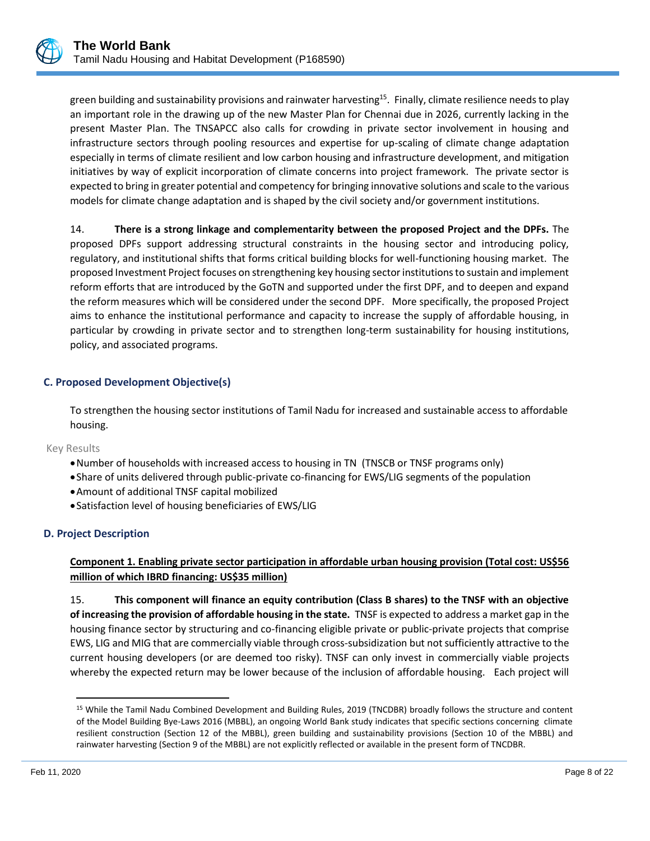green building and sustainability provisions and rainwater harvesting<sup>15</sup>. Finally, climate resilience needs to play an important role in the drawing up of the new Master Plan for Chennai due in 2026, currently lacking in the present Master Plan. The TNSAPCC also calls for crowding in private sector involvement in housing and infrastructure sectors through pooling resources and expertise for up-scaling of climate change adaptation especially in terms of climate resilient and low carbon housing and infrastructure development, and mitigation initiatives by way of explicit incorporation of climate concerns into project framework. The private sector is expected to bring in greater potential and competency for bringing innovative solutions and scale to the various models for climate change adaptation and is shaped by the civil society and/or government institutions.

14. **There is a strong linkage and complementarity between the proposed Project and the DPFs.** The proposed DPFs support addressing structural constraints in the housing sector and introducing policy, regulatory, and institutional shifts that forms critical building blocks for well-functioning housing market. The proposed Investment Project focuses on strengthening key housing sector institutions to sustain and implement reform efforts that are introduced by the GoTN and supported under the first DPF, and to deepen and expand the reform measures which will be considered under the second DPF. More specifically, the proposed Project aims to enhance the institutional performance and capacity to increase the supply of affordable housing, in particular by crowding in private sector and to strengthen long-term sustainability for housing institutions, policy, and associated programs.

#### **C. Proposed Development Objective(s)**

To strengthen the housing sector institutions of Tamil Nadu for increased and sustainable access to affordable housing.

#### Key Results

- •Number of households with increased access to housing in TN (TNSCB or TNSF programs only)
- •Share of units delivered through public-private co-financing for EWS/LIG segments of the population
- •Amount of additional TNSF capital mobilized
- •Satisfaction level of housing beneficiaries of EWS/LIG

#### **D. Project Description**

# **Component 1. Enabling private sector participation in affordable urban housing provision (Total cost: US\$56 million of which IBRD financing: US\$35 million)**

15. **This component will finance an equity contribution (Class B shares) to the TNSF with an objective of increasing the provision of affordable housing in the state.** TNSF is expected to address a market gap in the housing finance sector by structuring and co-financing eligible private or public-private projects that comprise EWS, LIG and MIG that are commercially viable through cross-subsidization but not sufficiently attractive to the current housing developers (or are deemed too risky). TNSF can only invest in commercially viable projects whereby the expected return may be lower because of the inclusion of affordable housing. Each project will

<sup>15</sup> While the Tamil Nadu Combined Development and Building Rules, 2019 (TNCDBR) broadly follows the structure and content of the Model Building Bye-Laws 2016 (MBBL), an ongoing World Bank study indicates that specific sections concerning climate resilient construction (Section 12 of the MBBL), green building and sustainability provisions (Section 10 of the MBBL) and rainwater harvesting (Section 9 of the MBBL) are not explicitly reflected or available in the present form of TNCDBR.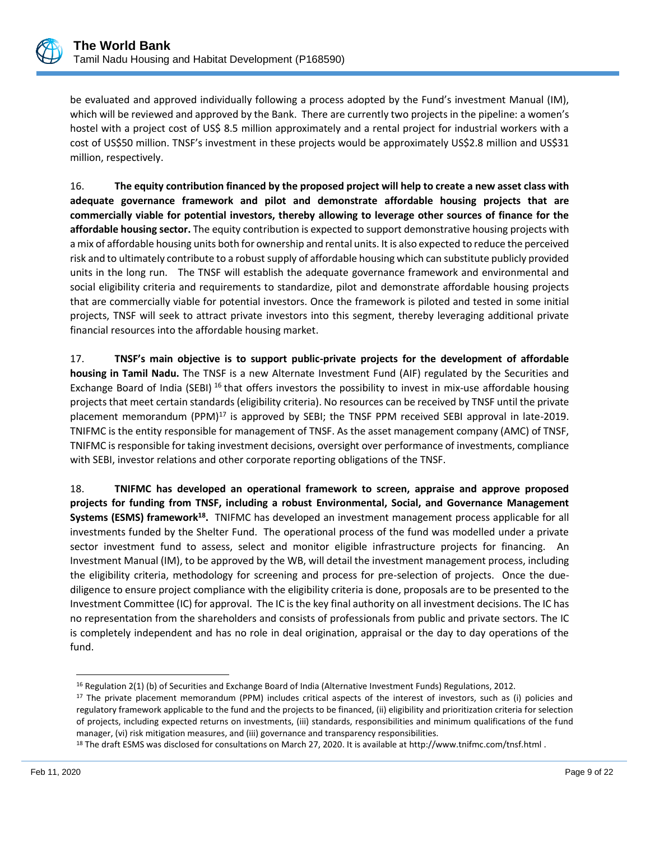

be evaluated and approved individually following a process adopted by the Fund's investment Manual (IM), which will be reviewed and approved by the Bank. There are currently two projects in the pipeline: a women's hostel with a project cost of US\$ 8.5 million approximately and a rental project for industrial workers with a cost of US\$50 million. TNSF's investment in these projects would be approximately US\$2.8 million and US\$31 million, respectively.

16. **The equity contribution financed by the proposed project will help to create a new asset class with adequate governance framework and pilot and demonstrate affordable housing projects that are commercially viable for potential investors, thereby allowing to leverage other sources of finance for the affordable housing sector.** The equity contribution is expected to support demonstrative housing projects with a mix of affordable housing units both for ownership and rental units. It is also expected to reduce the perceived risk and to ultimately contribute to a robust supply of affordable housing which can substitute publicly provided units in the long run. The TNSF will establish the adequate governance framework and environmental and social eligibility criteria and requirements to standardize, pilot and demonstrate affordable housing projects that are commercially viable for potential investors. Once the framework is piloted and tested in some initial projects, TNSF will seek to attract private investors into this segment, thereby leveraging additional private financial resources into the affordable housing market.

17. **TNSF's main objective is to support public-private projects for the development of affordable housing in Tamil Nadu.** The TNSF is a new Alternate Investment Fund (AIF) regulated by the Securities and Exchange Board of India (SEBI) <sup>16</sup> that offers investors the possibility to invest in mix-use affordable housing projects that meet certain standards (eligibility criteria). No resources can be received by TNSF until the private placement memorandum  $(PPM)^{17}$  is approved by SEBI; the TNSF PPM received SEBI approval in late-2019. TNIFMC is the entity responsible for management of TNSF. As the asset management company (AMC) of TNSF, TNIFMC is responsible for taking investment decisions, oversight over performance of investments, compliance with SEBI, investor relations and other corporate reporting obligations of the TNSF.

18. **TNIFMC has developed an operational framework to screen, appraise and approve proposed projects for funding from TNSF, including a robust Environmental, Social, and Governance Management Systems (ESMS) framework<sup>18</sup> .** TNIFMC has developed an investment management process applicable for all investments funded by the Shelter Fund. The operational process of the fund was modelled under a private sector investment fund to assess, select and monitor eligible infrastructure projects for financing. An Investment Manual (IM), to be approved by the WB, will detail the investment management process, including the eligibility criteria, methodology for screening and process for pre-selection of projects. Once the duediligence to ensure project compliance with the eligibility criteria is done, proposals are to be presented to the Investment Committee (IC) for approval. The IC is the key final authority on all investment decisions. The IC has no representation from the shareholders and consists of professionals from public and private sectors. The IC is completely independent and has no role in deal origination, appraisal or the day to day operations of the fund.

<sup>16</sup> Regulation 2(1) (b) of Securities and Exchange Board of India (Alternative Investment Funds) Regulations, 2012.

<sup>17</sup> The private placement memorandum (PPM) includes critical aspects of the interest of investors, such as (i) policies and regulatory framework applicable to the fund and the projects to be financed, (ii) eligibility and prioritization criteria for selection of projects, including expected returns on investments, (iii) standards, responsibilities and minimum qualifications of the fund manager, (vi) risk mitigation measures, and (iii) governance and transparency responsibilities.

<sup>18</sup> The draft ESMS was disclosed for consultations on March 27, 2020. It is available at http://www.tnifmc.com/tnsf.html .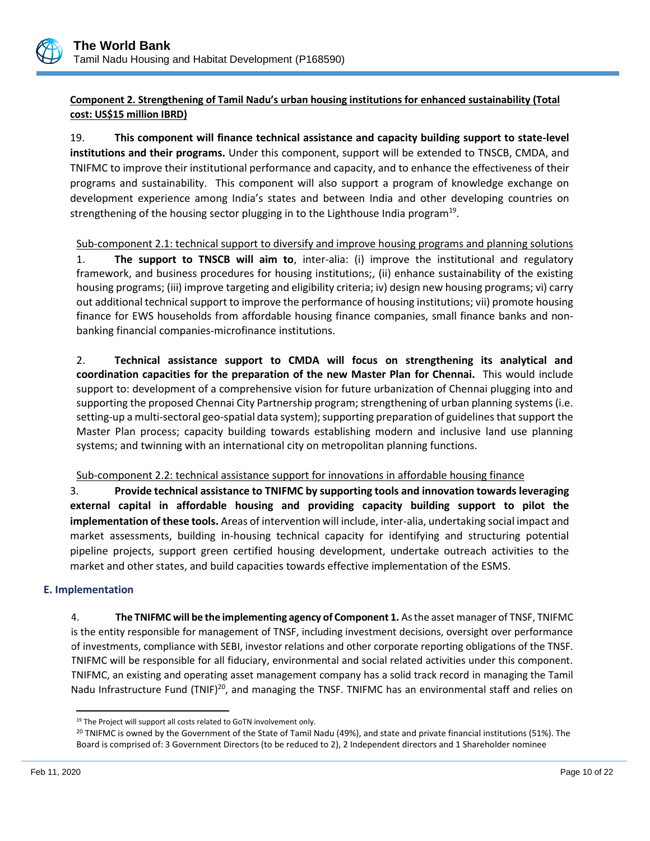

# **Component 2. Strengthening of Tamil Nadu's urban housing institutions for enhanced sustainability (Total cost: US\$15 million IBRD)**

19. **This component will finance technical assistance and capacity building support to state-level institutions and their programs.** Under this component, support will be extended to TNSCB, CMDA, and TNIFMC to improve their institutional performance and capacity, and to enhance the effectiveness of their programs and sustainability. This component will also support a program of knowledge exchange on development experience among India's states and between India and other developing countries on strengthening of the housing sector plugging in to the Lighthouse India program<sup>19</sup>.

Sub-component 2.1: technical support to diversify and improve housing programs and planning solutions 1. **The support to TNSCB will aim to**, inter-alia: (i) improve the institutional and regulatory framework, and business procedures for housing institutions;, (ii) enhance sustainability of the existing housing programs; (iii) improve targeting and eligibility criteria; iv) design new housing programs; vi) carry out additional technical support to improve the performance of housing institutions; vii) promote housing finance for EWS households from affordable housing finance companies, small finance banks and nonbanking financial companies-microfinance institutions.

2. **Technical assistance support to CMDA will focus on strengthening its analytical and coordination capacities for the preparation of the new Master Plan for Chennai.** This would include support to: development of a comprehensive vision for future urbanization of Chennai plugging into and supporting the proposed Chennai City Partnership program; strengthening of urban planning systems (i.e. setting-up a multi-sectoral geo-spatial data system); supporting preparation of guidelines that support the Master Plan process; capacity building towards establishing modern and inclusive land use planning systems; and twinning with an international city on metropolitan planning functions.

# Sub-component 2.2: technical assistance support for innovations in affordable housing finance

3. **Provide technical assistance to TNIFMC by supporting tools and innovation towards leveraging external capital in affordable housing and providing capacity building support to pilot the implementation of these tools.** Areas of intervention will include, inter-alia, undertaking social impact and market assessments, building in-housing technical capacity for identifying and structuring potential pipeline projects, support green certified housing development, undertake outreach activities to the market and other states, and build capacities towards effective implementation of the ESMS.

# **E. Implementation**

4. **The TNIFMC will be the implementing agency of Component 1.** As the asset manager of TNSF, TNIFMC is the entity responsible for management of TNSF, including investment decisions, oversight over performance of investments, compliance with SEBI, investor relations and other corporate reporting obligations of the TNSF. TNIFMC will be responsible for all fiduciary, environmental and social related activities under this component. TNIFMC, an existing and operating asset management company has a solid track record in managing the Tamil Nadu Infrastructure Fund (TNIF)<sup>20</sup>, and managing the TNSF. TNIFMC has an environmental staff and relies on

<sup>&</sup>lt;sup>19</sup> The Project will support all costs related to GoTN involvement only.

<sup>&</sup>lt;sup>20</sup> TNIFMC is owned by the Government of the State of Tamil Nadu (49%), and state and private financial institutions (51%). The Board is comprised of: 3 Government Directors (to be reduced to 2), 2 Independent directors and 1 Shareholder nominee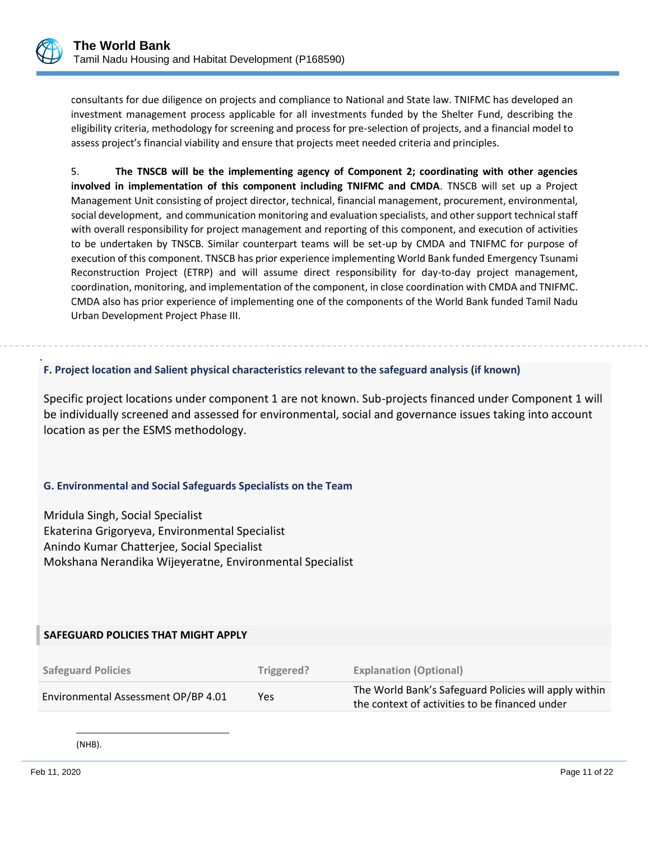

.

consultants for due diligence on projects and compliance to National and State law. TNIFMC has developed an investment management process applicable for all investments funded by the Shelter Fund, describing the eligibility criteria, methodology for screening and process for pre-selection of projects, and a financial model to assess project's financial viability and ensure that projects meet needed criteria and principles.

5. **The TNSCB will be the implementing agency of Component 2; coordinating with other agencies involved in implementation of this component including TNIFMC and CMDA**. TNSCB will set up a Project Management Unit consisting of project director, technical, financial management, procurement, environmental, social development, and communication monitoring and evaluation specialists, and other support technical staff with overall responsibility for project management and reporting of this component, and execution of activities to be undertaken by TNSCB. Similar counterpart teams will be set-up by CMDA and TNIFMC for purpose of execution of this component. TNSCB has prior experience implementing World Bank funded Emergency Tsunami Reconstruction Project (ETRP) and will assume direct responsibility for day-to-day project management, coordination, monitoring, and implementation of the component, in close coordination with CMDA and TNIFMC. CMDA also has prior experience of implementing one of the components of the World Bank funded Tamil Nadu Urban Development Project Phase III.

#### **F. Project location and Salient physical characteristics relevant to the safeguard analysis (if known)**

Specific project locations under component 1 are not known. Sub-projects financed under Component 1 will be individually screened and assessed for environmental, social and governance issues taking into account location as per the ESMS methodology.

#### **G. Environmental and Social Safeguards Specialists on the Team**

Mridula Singh, Social Specialist Ekaterina Grigoryeva, Environmental Specialist Anindo Kumar Chatterjee, Social Specialist Mokshana Nerandika Wijeyeratne, Environmental Specialist

| SAFEGUARD POLICIES THAT MIGHT APPLY |            |                                                                                                         |
|-------------------------------------|------------|---------------------------------------------------------------------------------------------------------|
| <b>Safeguard Policies</b>           | Triggered? | <b>Explanation (Optional)</b>                                                                           |
| Environmental Assessment OP/BP 4.01 | <b>Yes</b> | The World Bank's Safeguard Policies will apply within<br>the context of activities to be financed under |

(NHB).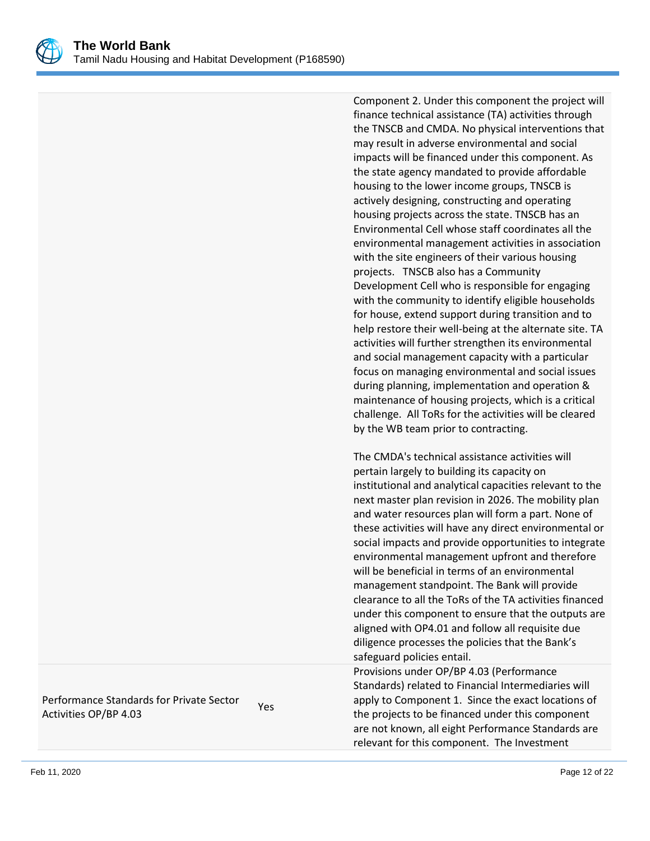

Component 2. Under this component the project will finance technical assistance (TA) activities through the TNSCB and CMDA. No physical interventions that may result in adverse environmental and social impacts will be financed under this component. As the state agency mandated to provide affordable housing to the lower income groups, TNSCB is actively designing, constructing and operating housing projects across the state. TNSCB has an Environmental Cell whose staff coordinates all the environmental management activities in association with the site engineers of their various housing projects. TNSCB also has a Community Development Cell who is responsible for engaging with the community to identify eligible households for house, extend support during transition and to help restore their well-being at the alternate site. TA activities will further strengthen its environmental and social management capacity with a particular focus on managing environmental and social issues during planning, implementation and operation & maintenance of housing projects, which is a critical challenge. All ToRs for the activities will be cleared by the WB team prior to contracting.

The CMDA's technical assistance activities will pertain largely to building its capacity on institutional and analytical capacities relevant to the next master plan revision in 2026. The mobility plan and water resources plan will form a part. None of these activities will have any direct environmental or social impacts and provide opportunities to integrate environmental management upfront and therefore will be beneficial in terms of an environmental management standpoint. The Bank will provide clearance to all the ToRs of the TA activities financed under this component to ensure that the outputs are aligned with OP4.01 and follow all requisite due diligence processes the policies that the Bank's safeguard policies entail.

Provisions under OP/BP 4.03 (Performance Standards) related to Financial Intermediaries will apply to Component 1. Since the exact locations of the projects to be financed under this component are not known, all eight Performance Standards are relevant for this component. The Investment

Performance Standards for Private Sector Terrormance Standards for Frivate Sector Yes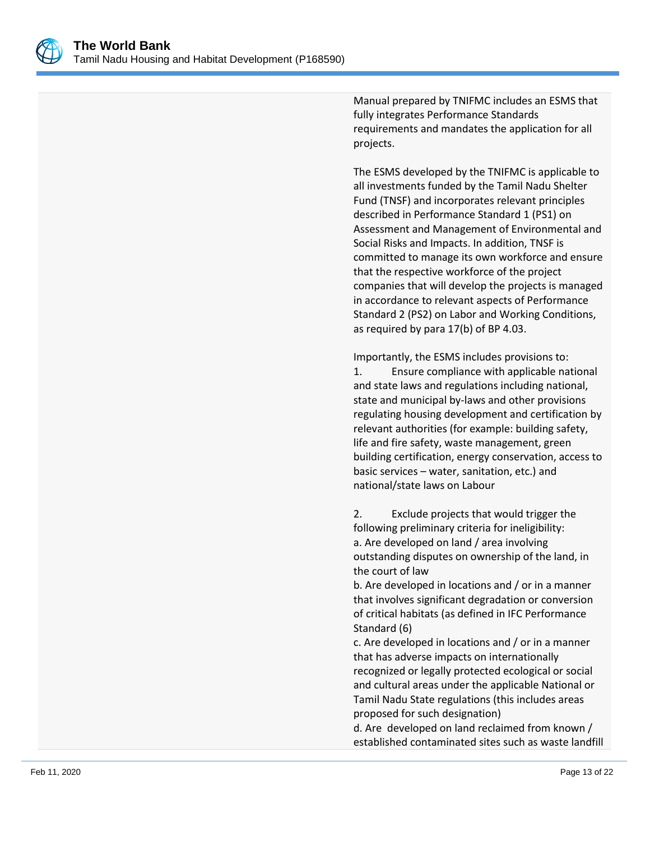

Manual prepared by TNIFMC includes an ESMS that fully integrates Performance Standards requirements and mandates the application for all projects.

The ESMS developed by the TNIFMC is applicable to all investments funded by the Tamil Nadu Shelter Fund (TNSF) and incorporates relevant principles described in Performance Standard 1 (PS1) on Assessment and Management of Environmental and Social Risks and Impacts. In addition, TNSF is committed to manage its own workforce and ensure that the respective workforce of the project companies that will develop the projects is managed in accordance to relevant aspects of Performance Standard 2 (PS2) on Labor and Working Conditions, as required by para 17(b) of BP 4.03.

Importantly, the ESMS includes provisions to:

1. Ensure compliance with applicable national and state laws and regulations including national, state and municipal by-laws and other provisions regulating housing development and certification by relevant authorities (for example: building safety, life and fire safety, waste management, green building certification, energy conservation, access to basic services – water, sanitation, etc.) and national/state laws on Labour

2. Exclude projects that would trigger the following preliminary criteria for ineligibility: a. Are developed on land / area involving outstanding disputes on ownership of the land, in the court of law

b. Are developed in locations and / or in a manner that involves significant degradation or conversion of critical habitats (as defined in IFC Performance Standard (6)

c. Are developed in locations and / or in a manner that has adverse impacts on internationally recognized or legally protected ecological or social and cultural areas under the applicable National or Tamil Nadu State regulations (this includes areas proposed for such designation)

d. Are developed on land reclaimed from known / established contaminated sites such as waste landfill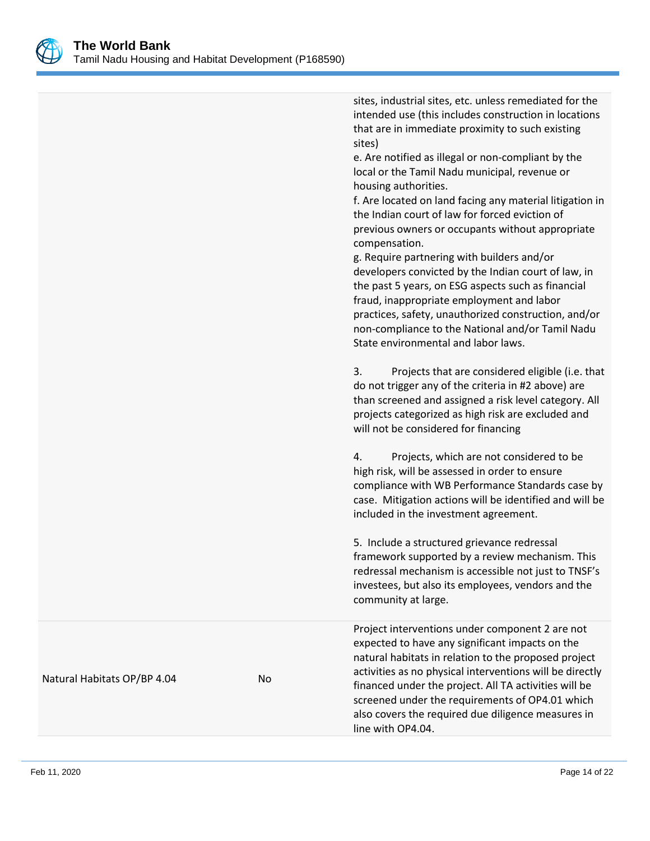

|                             |    | sites, industrial sites, etc. unless remediated for the<br>intended use (this includes construction in locations<br>that are in immediate proximity to such existing<br>sites)<br>e. Are notified as illegal or non-compliant by the<br>local or the Tamil Nadu municipal, revenue or<br>housing authorities.<br>f. Are located on land facing any material litigation in<br>the Indian court of law for forced eviction of<br>previous owners or occupants without appropriate<br>compensation.<br>g. Require partnering with builders and/or<br>developers convicted by the Indian court of law, in<br>the past 5 years, on ESG aspects such as financial<br>fraud, inappropriate employment and labor<br>practices, safety, unauthorized construction, and/or<br>non-compliance to the National and/or Tamil Nadu<br>State environmental and labor laws.<br>3.<br>Projects that are considered eligible (i.e. that<br>do not trigger any of the criteria in #2 above) are<br>than screened and assigned a risk level category. All<br>projects categorized as high risk are excluded and<br>will not be considered for financing<br>Projects, which are not considered to be<br>4.<br>high risk, will be assessed in order to ensure<br>compliance with WB Performance Standards case by<br>case. Mitigation actions will be identified and will be<br>included in the investment agreement.<br>5. Include a structured grievance redressal<br>framework supported by a review mechanism. This<br>redressal mechanism is accessible not just to TNSF's<br>investees, but also its employees, vendors and the |
|-----------------------------|----|-----------------------------------------------------------------------------------------------------------------------------------------------------------------------------------------------------------------------------------------------------------------------------------------------------------------------------------------------------------------------------------------------------------------------------------------------------------------------------------------------------------------------------------------------------------------------------------------------------------------------------------------------------------------------------------------------------------------------------------------------------------------------------------------------------------------------------------------------------------------------------------------------------------------------------------------------------------------------------------------------------------------------------------------------------------------------------------------------------------------------------------------------------------------------------------------------------------------------------------------------------------------------------------------------------------------------------------------------------------------------------------------------------------------------------------------------------------------------------------------------------------------------------------------------------------------------------------------------------------------|
|                             |    | community at large.                                                                                                                                                                                                                                                                                                                                                                                                                                                                                                                                                                                                                                                                                                                                                                                                                                                                                                                                                                                                                                                                                                                                                                                                                                                                                                                                                                                                                                                                                                                                                                                             |
| Natural Habitats OP/BP 4.04 | No | Project interventions under component 2 are not<br>expected to have any significant impacts on the<br>natural habitats in relation to the proposed project<br>activities as no physical interventions will be directly<br>financed under the project. All TA activities will be<br>screened under the requirements of OP4.01 which<br>also covers the required due diligence measures in<br>line with OP4.04.                                                                                                                                                                                                                                                                                                                                                                                                                                                                                                                                                                                                                                                                                                                                                                                                                                                                                                                                                                                                                                                                                                                                                                                                   |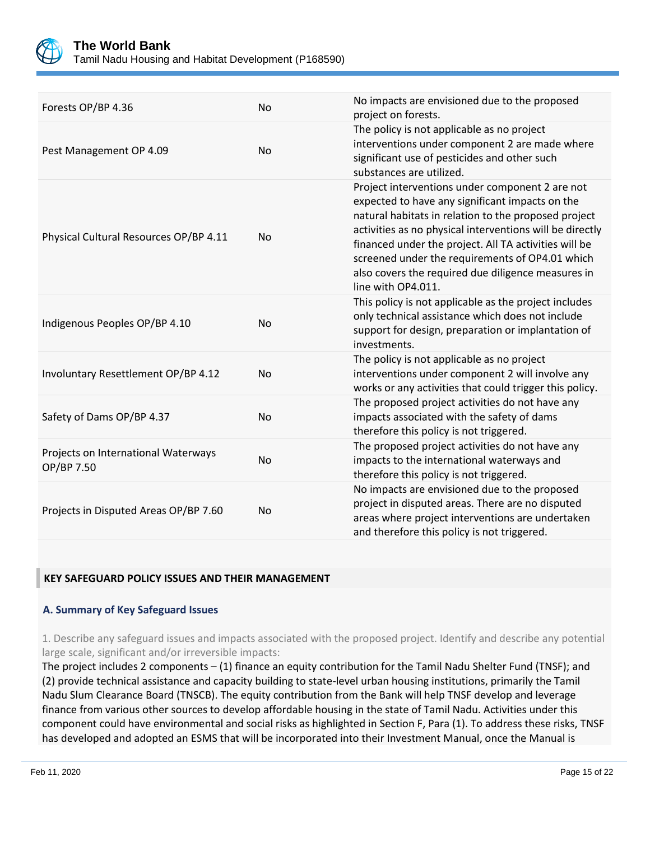

Tamil Nadu Housing and Habitat Development (P168590)

| Forests OP/BP 4.36                                | <b>No</b> | No impacts are envisioned due to the proposed<br>project on forests.                                                                                                                                                                                                                                                                                                                                           |
|---------------------------------------------------|-----------|----------------------------------------------------------------------------------------------------------------------------------------------------------------------------------------------------------------------------------------------------------------------------------------------------------------------------------------------------------------------------------------------------------------|
| Pest Management OP 4.09                           | <b>No</b> | The policy is not applicable as no project<br>interventions under component 2 are made where<br>significant use of pesticides and other such<br>substances are utilized.                                                                                                                                                                                                                                       |
| Physical Cultural Resources OP/BP 4.11            | <b>No</b> | Project interventions under component 2 are not<br>expected to have any significant impacts on the<br>natural habitats in relation to the proposed project<br>activities as no physical interventions will be directly<br>financed under the project. All TA activities will be<br>screened under the requirements of OP4.01 which<br>also covers the required due diligence measures in<br>line with OP4.011. |
| Indigenous Peoples OP/BP 4.10                     | <b>No</b> | This policy is not applicable as the project includes<br>only technical assistance which does not include<br>support for design, preparation or implantation of<br>investments.                                                                                                                                                                                                                                |
| Involuntary Resettlement OP/BP 4.12               | <b>No</b> | The policy is not applicable as no project<br>interventions under component 2 will involve any<br>works or any activities that could trigger this policy.                                                                                                                                                                                                                                                      |
| Safety of Dams OP/BP 4.37                         | <b>No</b> | The proposed project activities do not have any<br>impacts associated with the safety of dams<br>therefore this policy is not triggered.                                                                                                                                                                                                                                                                       |
| Projects on International Waterways<br>OP/BP 7.50 | <b>No</b> | The proposed project activities do not have any<br>impacts to the international waterways and<br>therefore this policy is not triggered.                                                                                                                                                                                                                                                                       |
| Projects in Disputed Areas OP/BP 7.60             | No        | No impacts are envisioned due to the proposed<br>project in disputed areas. There are no disputed<br>areas where project interventions are undertaken<br>and therefore this policy is not triggered.                                                                                                                                                                                                           |

#### **KEY SAFEGUARD POLICY ISSUES AND THEIR MANAGEMENT**

#### **A. Summary of Key Safeguard Issues**

1. Describe any safeguard issues and impacts associated with the proposed project. Identify and describe any potential large scale, significant and/or irreversible impacts:

The project includes 2 components – (1) finance an equity contribution for the Tamil Nadu Shelter Fund (TNSF); and (2) provide technical assistance and capacity building to state-level urban housing institutions, primarily the Tamil Nadu Slum Clearance Board (TNSCB). The equity contribution from the Bank will help TNSF develop and leverage finance from various other sources to develop affordable housing in the state of Tamil Nadu. Activities under this component could have environmental and social risks as highlighted in Section F, Para (1). To address these risks, TNSF has developed and adopted an ESMS that will be incorporated into their Investment Manual, once the Manual is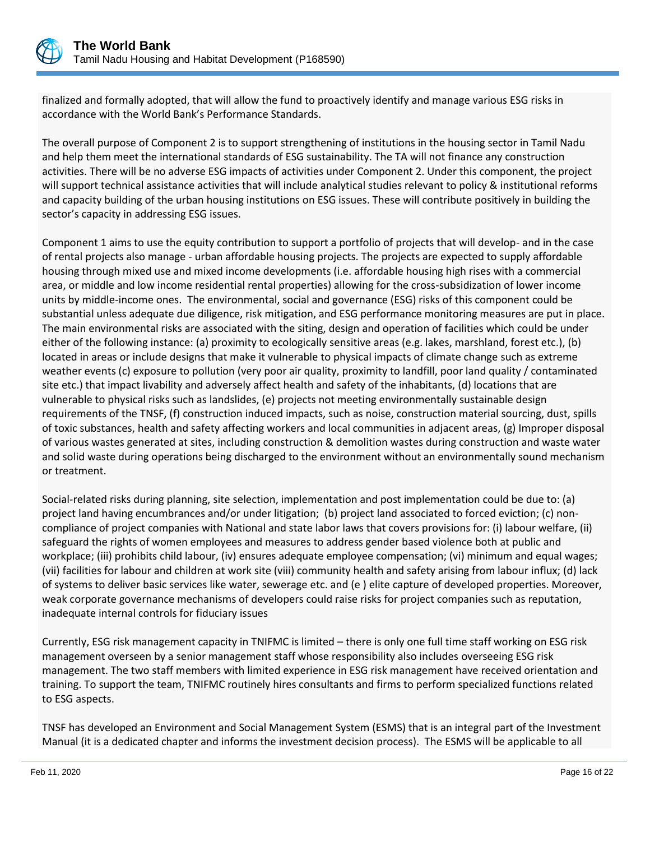

finalized and formally adopted, that will allow the fund to proactively identify and manage various ESG risks in accordance with the World Bank's Performance Standards.

The overall purpose of Component 2 is to support strengthening of institutions in the housing sector in Tamil Nadu and help them meet the international standards of ESG sustainability. The TA will not finance any construction activities. There will be no adverse ESG impacts of activities under Component 2. Under this component, the project will support technical assistance activities that will include analytical studies relevant to policy & institutional reforms and capacity building of the urban housing institutions on ESG issues. These will contribute positively in building the sector's capacity in addressing ESG issues.

Component 1 aims to use the equity contribution to support a portfolio of projects that will develop- and in the case of rental projects also manage - urban affordable housing projects. The projects are expected to supply affordable housing through mixed use and mixed income developments (i.e. affordable housing high rises with a commercial area, or middle and low income residential rental properties) allowing for the cross-subsidization of lower income units by middle-income ones. The environmental, social and governance (ESG) risks of this component could be substantial unless adequate due diligence, risk mitigation, and ESG performance monitoring measures are put in place. The main environmental risks are associated with the siting, design and operation of facilities which could be under either of the following instance: (a) proximity to ecologically sensitive areas (e.g. lakes, marshland, forest etc.), (b) located in areas or include designs that make it vulnerable to physical impacts of climate change such as extreme weather events (c) exposure to pollution (very poor air quality, proximity to landfill, poor land quality / contaminated site etc.) that impact livability and adversely affect health and safety of the inhabitants, (d) locations that are vulnerable to physical risks such as landslides, (e) projects not meeting environmentally sustainable design requirements of the TNSF, (f) construction induced impacts, such as noise, construction material sourcing, dust, spills of toxic substances, health and safety affecting workers and local communities in adjacent areas, (g) Improper disposal of various wastes generated at sites, including construction & demolition wastes during construction and waste water and solid waste during operations being discharged to the environment without an environmentally sound mechanism or treatment.

Social-related risks during planning, site selection, implementation and post implementation could be due to: (a) project land having encumbrances and/or under litigation; (b) project land associated to forced eviction; (c) noncompliance of project companies with National and state labor laws that covers provisions for: (i) labour welfare, (ii) safeguard the rights of women employees and measures to address gender based violence both at public and workplace; (iii) prohibits child labour, (iv) ensures adequate employee compensation; (vi) minimum and equal wages; (vii) facilities for labour and children at work site (viii) community health and safety arising from labour influx; (d) lack of systems to deliver basic services like water, sewerage etc. and (e ) elite capture of developed properties. Moreover, weak corporate governance mechanisms of developers could raise risks for project companies such as reputation, inadequate internal controls for fiduciary issues

Currently, ESG risk management capacity in TNIFMC is limited – there is only one full time staff working on ESG risk management overseen by a senior management staff whose responsibility also includes overseeing ESG risk management. The two staff members with limited experience in ESG risk management have received orientation and training. To support the team, TNIFMC routinely hires consultants and firms to perform specialized functions related to ESG aspects.

TNSF has developed an Environment and Social Management System (ESMS) that is an integral part of the Investment Manual (it is a dedicated chapter and informs the investment decision process). The ESMS will be applicable to all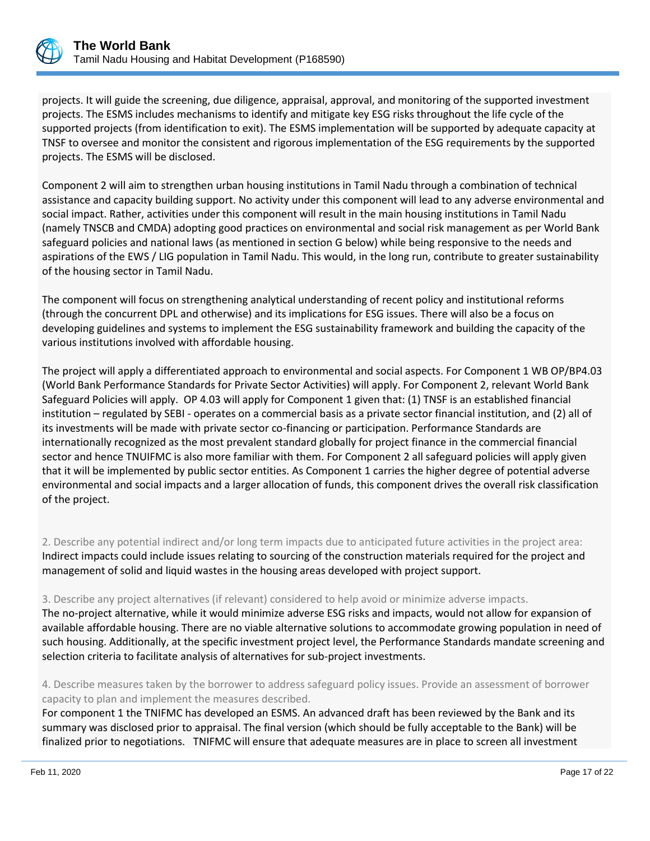

projects. It will guide the screening, due diligence, appraisal, approval, and monitoring of the supported investment projects. The ESMS includes mechanisms to identify and mitigate key ESG risks throughout the life cycle of the supported projects (from identification to exit). The ESMS implementation will be supported by adequate capacity at TNSF to oversee and monitor the consistent and rigorous implementation of the ESG requirements by the supported projects. The ESMS will be disclosed.

Component 2 will aim to strengthen urban housing institutions in Tamil Nadu through a combination of technical assistance and capacity building support. No activity under this component will lead to any adverse environmental and social impact. Rather, activities under this component will result in the main housing institutions in Tamil Nadu (namely TNSCB and CMDA) adopting good practices on environmental and social risk management as per World Bank safeguard policies and national laws (as mentioned in section G below) while being responsive to the needs and aspirations of the EWS / LIG population in Tamil Nadu. This would, in the long run, contribute to greater sustainability of the housing sector in Tamil Nadu.

The component will focus on strengthening analytical understanding of recent policy and institutional reforms (through the concurrent DPL and otherwise) and its implications for ESG issues. There will also be a focus on developing guidelines and systems to implement the ESG sustainability framework and building the capacity of the various institutions involved with affordable housing.

The project will apply a differentiated approach to environmental and social aspects. For Component 1 WB OP/BP4.03 (World Bank Performance Standards for Private Sector Activities) will apply. For Component 2, relevant World Bank Safeguard Policies will apply. OP 4.03 will apply for Component 1 given that: (1) TNSF is an established financial institution – regulated by SEBI - operates on a commercial basis as a private sector financial institution, and (2) all of its investments will be made with private sector co-financing or participation. Performance Standards are internationally recognized as the most prevalent standard globally for project finance in the commercial financial sector and hence TNUIFMC is also more familiar with them. For Component 2 all safeguard policies will apply given that it will be implemented by public sector entities. As Component 1 carries the higher degree of potential adverse environmental and social impacts and a larger allocation of funds, this component drives the overall risk classification of the project.

2. Describe any potential indirect and/or long term impacts due to anticipated future activities in the project area: Indirect impacts could include issues relating to sourcing of the construction materials required for the project and management of solid and liquid wastes in the housing areas developed with project support.

3. Describe any project alternatives (if relevant) considered to help avoid or minimize adverse impacts.

The no-project alternative, while it would minimize adverse ESG risks and impacts, would not allow for expansion of available affordable housing. There are no viable alternative solutions to accommodate growing population in need of such housing. Additionally, at the specific investment project level, the Performance Standards mandate screening and selection criteria to facilitate analysis of alternatives for sub-project investments.

4. Describe measures taken by the borrower to address safeguard policy issues. Provide an assessment of borrower capacity to plan and implement the measures described.

For component 1 the TNIFMC has developed an ESMS. An advanced draft has been reviewed by the Bank and its summary was disclosed prior to appraisal. The final version (which should be fully acceptable to the Bank) will be finalized prior to negotiations. TNIFMC will ensure that adequate measures are in place to screen all investment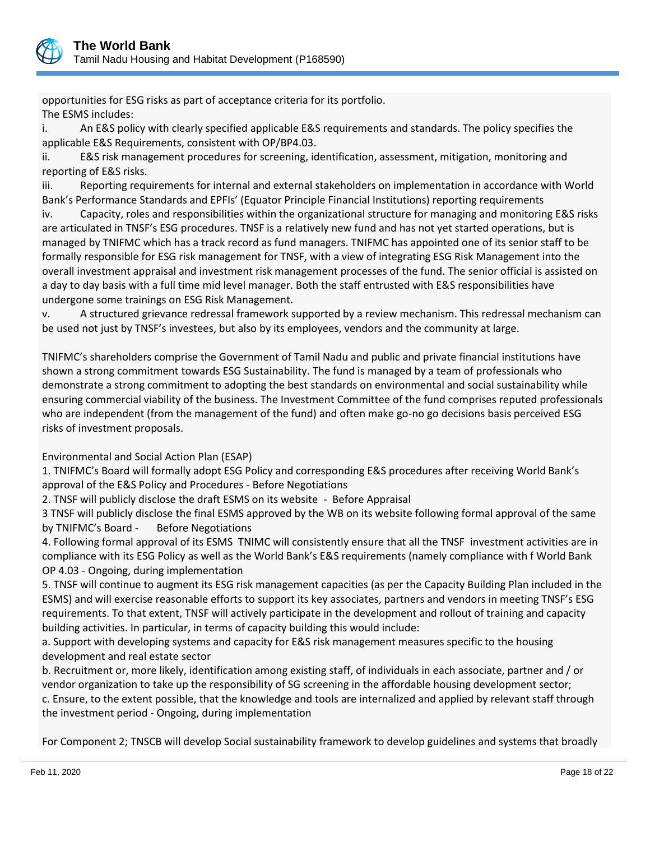

opportunities for ESG risks as part of acceptance criteria for its portfolio. The ESMS includes:

i. An E&S policy with clearly specified applicable E&S requirements and standards. The policy specifies the applicable E&S Requirements, consistent with OP/BP4.03.

ii. E&S risk management procedures for screening, identification, assessment, mitigation, monitoring and reporting of E&S risks.

iii. Reporting requirements for internal and external stakeholders on implementation in accordance with World Bank's Performance Standards and EPFIs' (Equator Principle Financial Institutions) reporting requirements

iv. Capacity, roles and responsibilities within the organizational structure for managing and monitoring E&S risks are articulated in TNSF's ESG procedures. TNSF is a relatively new fund and has not yet started operations, but is managed by TNIFMC which has a track record as fund managers. TNIFMC has appointed one of its senior staff to be formally responsible for ESG risk management for TNSF, with a view of integrating ESG Risk Management into the overall investment appraisal and investment risk management processes of the fund. The senior official is assisted on a day to day basis with a full time mid level manager. Both the staff entrusted with E&S responsibilities have undergone some trainings on ESG Risk Management.

v. A structured grievance redressal framework supported by a review mechanism. This redressal mechanism can be used not just by TNSF's investees, but also by its employees, vendors and the community at large.

TNIFMC's shareholders comprise the Government of Tamil Nadu and public and private financial institutions have shown a strong commitment towards ESG Sustainability. The fund is managed by a team of professionals who demonstrate a strong commitment to adopting the best standards on environmental and social sustainability while ensuring commercial viability of the business. The Investment Committee of the fund comprises reputed professionals who are independent (from the management of the fund) and often make go-no go decisions basis perceived ESG risks of investment proposals.

Environmental and Social Action Plan (ESAP)

1. TNIFMC's Board will formally adopt ESG Policy and corresponding E&S procedures after receiving World Bank's approval of the E&S Policy and Procedures - Before Negotiations

2. TNSF will publicly disclose the draft ESMS on its website - Before Appraisal

3 TNSF will publicly disclose the final ESMS approved by the WB on its website following formal approval of the same by TNIFMC's Board - Before Negotiations

4. Following formal approval of its ESMS TNIMC will consistently ensure that all the TNSF investment activities are in compliance with its ESG Policy as well as the World Bank's E&S requirements (namely compliance with f World Bank OP 4.03 - Ongoing, during implementation

5. TNSF will continue to augment its ESG risk management capacities (as per the Capacity Building Plan included in the ESMS) and will exercise reasonable efforts to support its key associates, partners and vendors in meeting TNSF's ESG requirements. To that extent, TNSF will actively participate in the development and rollout of training and capacity building activities. In particular, in terms of capacity building this would include:

a. Support with developing systems and capacity for E&S risk management measures specific to the housing development and real estate sector

b. Recruitment or, more likely, identification among existing staff, of individuals in each associate, partner and / or vendor organization to take up the responsibility of SG screening in the affordable housing development sector; c. Ensure, to the extent possible, that the knowledge and tools are internalized and applied by relevant staff through the investment period - Ongoing, during implementation

For Component 2; TNSCB will develop Social sustainability framework to develop guidelines and systems that broadly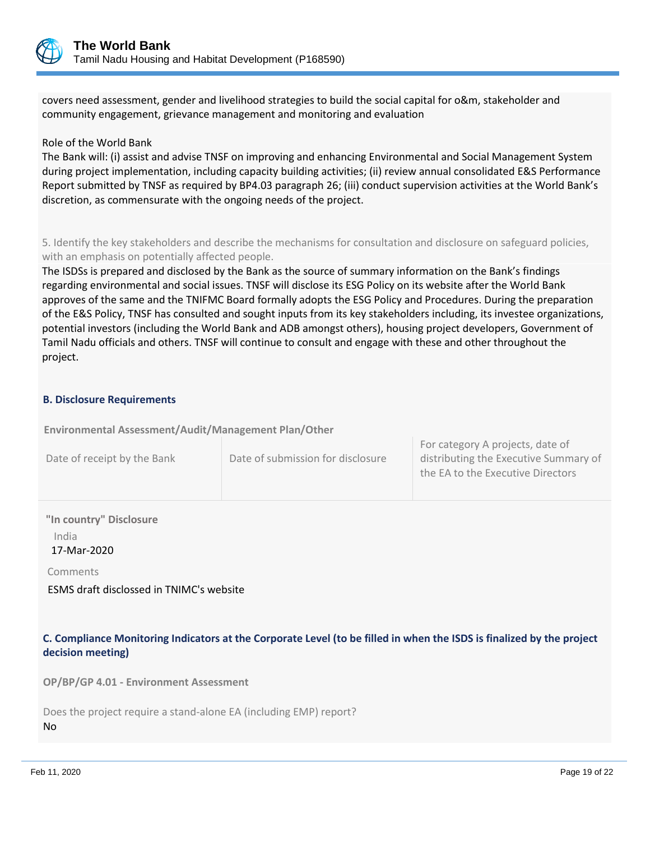

covers need assessment, gender and livelihood strategies to build the social capital for o&m, stakeholder and community engagement, grievance management and monitoring and evaluation

#### Role of the World Bank

The Bank will: (i) assist and advise TNSF on improving and enhancing Environmental and Social Management System during project implementation, including capacity building activities; (ii) review annual consolidated E&S Performance Report submitted by TNSF as required by BP4.03 paragraph 26; (iii) conduct supervision activities at the World Bank's discretion, as commensurate with the ongoing needs of the project.

5. Identify the key stakeholders and describe the mechanisms for consultation and disclosure on safeguard policies, with an emphasis on potentially affected people.

The ISDSs is prepared and disclosed by the Bank as the source of summary information on the Bank's findings regarding environmental and social issues. TNSF will disclose its ESG Policy on its website after the World Bank approves of the same and the TNIFMC Board formally adopts the ESG Policy and Procedures. During the preparation of the E&S Policy, TNSF has consulted and sought inputs from its key stakeholders including, its investee organizations, potential investors (including the World Bank and ADB amongst others), housing project developers, Government of Tamil Nadu officials and others. TNSF will continue to consult and engage with these and other throughout the project.

#### **B. Disclosure Requirements**

**Environmental Assessment/Audit/Management Plan/Other** 

| Date of receipt by the Bank | Date of submission for disclosure | TUI CALERUI Y A DIUJECLS, UALE UI<br>distributing the Executive Summary of<br>the EA to the Executive Directors |
|-----------------------------|-----------------------------------|-----------------------------------------------------------------------------------------------------------------|
|-----------------------------|-----------------------------------|-----------------------------------------------------------------------------------------------------------------|

**"In country" Disclosure**

India

17-Mar-2020

Comments

ESMS draft disclossed in TNIMC's website

**C. Compliance Monitoring Indicators at the Corporate Level (to be filled in when the ISDS is finalized by the project decision meeting)** 

**OP/BP/GP 4.01 - Environment Assessment** 

Does the project require a stand-alone EA (including EMP) report? No

For category A projects, date of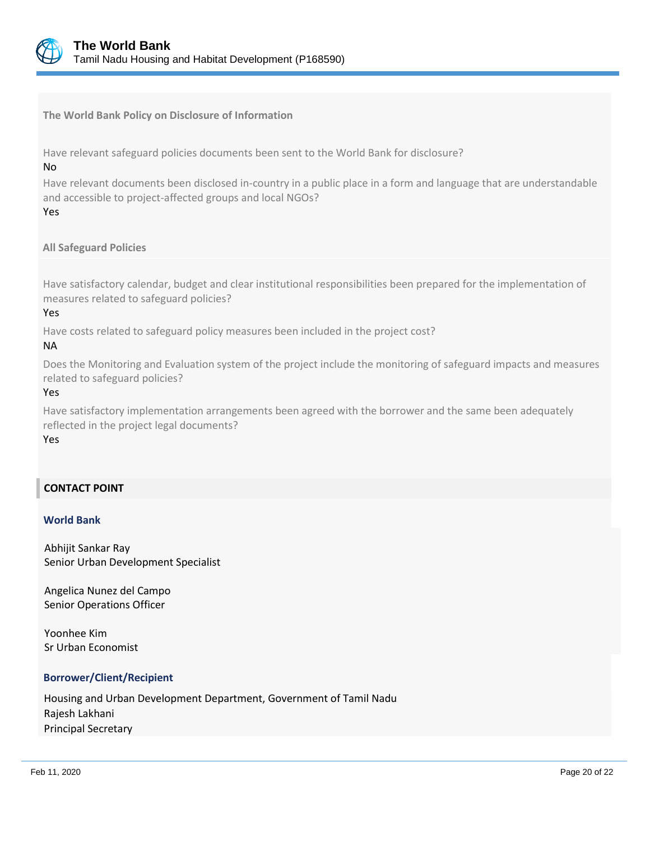

**The World Bank Policy on Disclosure of Information**

Have relevant safeguard policies documents been sent to the World Bank for disclosure?

#### No

Have relevant documents been disclosed in-country in a public place in a form and language that are understandable and accessible to project-affected groups and local NGOs?

#### Yes

# **All Safeguard Policies**

Have satisfactory calendar, budget and clear institutional responsibilities been prepared for the implementation of measures related to safeguard policies?

#### Yes

Have costs related to safeguard policy measures been included in the project cost?

#### NA

Does the Monitoring and Evaluation system of the project include the monitoring of safeguard impacts and measures related to safeguard policies?

#### Yes

Have satisfactory implementation arrangements been agreed with the borrower and the same been adequately reflected in the project legal documents?

#### Yes

# **CONTACT POINT**

#### **World Bank**

Abhijit Sankar Ray Senior Urban Development Specialist

Angelica Nunez del Campo Senior Operations Officer

Yoonhee Kim Sr Urban Economist

#### **Borrower/Client/Recipient**

Housing and Urban Development Department, Government of Tamil Nadu Rajesh Lakhani Principal Secretary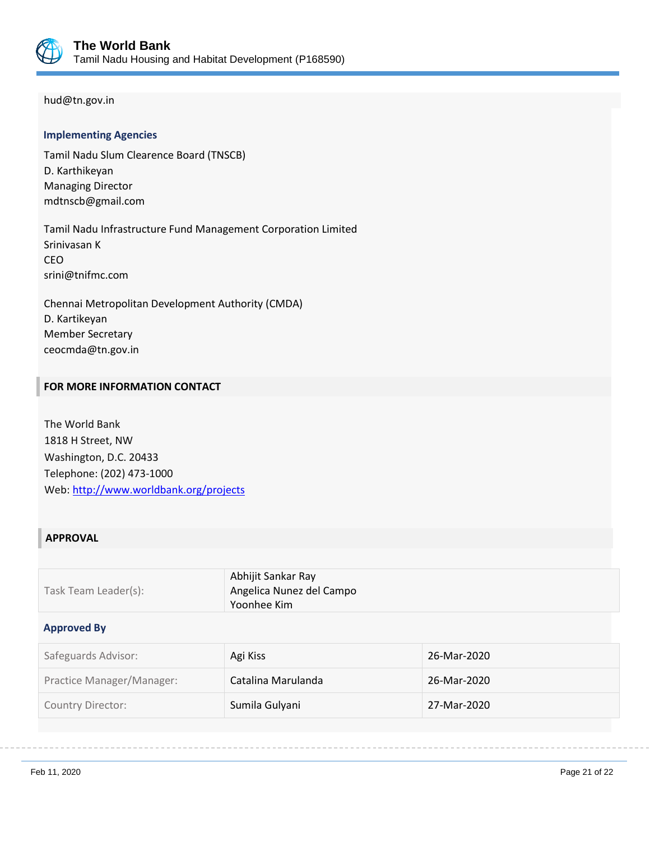

### hud@tn.gov.in

#### **Implementing Agencies**

Tamil Nadu Slum Clearence Board (TNSCB) D. Karthikeyan Managing Director mdtnscb@gmail.com

Tamil Nadu Infrastructure Fund Management Corporation Limited Srinivasan K CEO srini@tnifmc.com

Chennai Metropolitan Development Authority (CMDA) D. Kartikeyan Member Secretary ceocmda@tn.gov.in

# **FOR MORE INFORMATION CONTACT**

The World Bank 1818 H Street, NW Washington, D.C. 20433 Telephone: (202) 473-1000 Web:<http://www.worldbank.org/projects>

### **APPROVAL**

| Task Team Leader(s): | Abhijit Sankar Ray<br>Angelica Nunez del Campo<br>$^{\circ}$ Yoonhee Kim $^{\circ}$ |
|----------------------|-------------------------------------------------------------------------------------|
|----------------------|-------------------------------------------------------------------------------------|

#### **Approved By**

| Safeguards Advisor:       | Agi Kiss           | 26-Mar-2020 |
|---------------------------|--------------------|-------------|
| Practice Manager/Manager: | Catalina Marulanda | 26-Mar-2020 |
| Country Director:         | Sumila Gulyani     | 27-Mar-2020 |